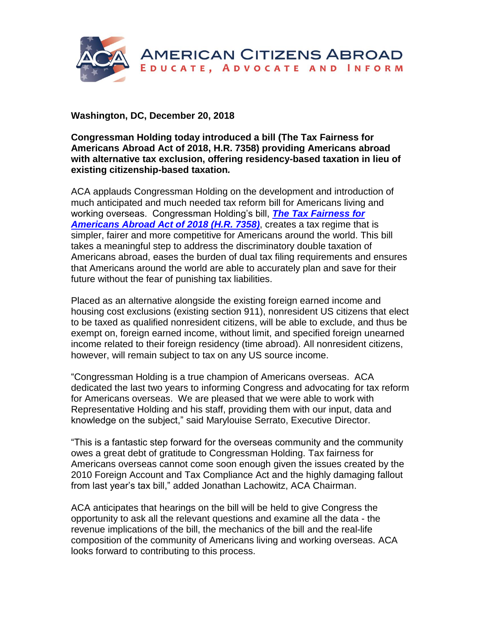

**Washington, DC, December 20, 2018**

**Congressman Holding today introduced a bill (The Tax Fairness for Americans Abroad Act of 2018, H.R. 7358) providing Americans abroad with alternative tax exclusion, offering residency-based taxation in lieu of existing citizenship-based taxation***.* 

ACA applauds Congressman Holding on the development and introduction of much anticipated and much needed tax reform bill for Americans living and working overseas. Congressman Holding's bill, *[The Tax Fairness for](https://www.americansabroad.org/media/files/files/b3989b0b/tax-fairness-for-americans-abroad-act-h-r-7358.pdf)  [Americans Abroad Act](https://www.americansabroad.org/media/files/files/b3989b0b/tax-fairness-for-americans-abroad-act-h-r-7358.pdf) of 2018 (H.R. 7358)*, creates a tax regime that is simpler, fairer and more competitive for Americans around the world. This bill takes a meaningful step to address the discriminatory double taxation of Americans abroad, eases the burden of dual tax filing requirements and ensures that Americans around the world are able to accurately plan and save for their future without the fear of punishing tax liabilities.

Placed as an alternative alongside the existing foreign earned income and housing cost exclusions (existing section 911), nonresident US citizens that elect to be taxed as qualified nonresident citizens, will be able to exclude, and thus be exempt on, foreign earned income, without limit, and specified foreign unearned income related to their foreign residency (time abroad). All nonresident citizens, however, will remain subject to tax on any US source income.

"Congressman Holding is a true champion of Americans overseas. ACA dedicated the last two years to informing Congress and advocating for tax reform for Americans overseas. We are pleased that we were able to work with Representative Holding and his staff, providing them with our input, data and knowledge on the subject," said Marylouise Serrato, Executive Director.

"This is a fantastic step forward for the overseas community and the community owes a great debt of gratitude to Congressman Holding. Tax fairness for Americans overseas cannot come soon enough given the issues created by the 2010 Foreign Account and Tax Compliance Act and the highly damaging fallout from last year's tax bill," added Jonathan Lachowitz, ACA Chairman.

ACA anticipates that hearings on the bill will be held to give Congress the opportunity to ask all the relevant questions and examine all the data - the revenue implications of the bill, the mechanics of the bill and the real-life composition of the community of Americans living and working overseas. ACA looks forward to contributing to this process.